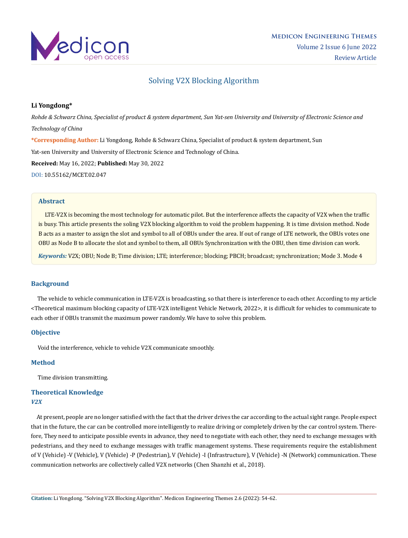

# Solving V2X Blocking Algorithm

## **Li Yongdong\***

*Rohde & Schwarz China, Specialist of product & system department, Sun Yat-sen University and University of Electronic Science and Technology of China* **\*Corresponding Author:** Li Yongdong, Rohde & Schwarz China, Specialist of product & system department, Sun Yat-sen University and University of Electronic Science and Technology of China. **Received:** May 16, 2022; **Published:** May 30, 2022 [DOI: 10.55162/MCET.02.047](https://doi.org/10.55162/MCET.02.047)

#### **Abstract**

 LTE-V2X is becoming the most technology for automatic pilot. But the interference affects the capacity of V2X when the traffic is busy. This article presents the soling V2X blocking algorithm to void the problem happening. It is time division method. Node B acts as a master to assign the slot and symbol to all of OBUs under the area. If out of range of LTE network, the OBUs votes one OBU as Node B to allocate the slot and symbol to them, all OBUs Synchronization with the OBU, then time division can work.

*Keywords:* V2X; OBU; Node B; Time division; LTE; interference; blocking; PBCH; broadcast; synchronization; Mode 3. Mode 4

## **Background**

 The vehicle to vehicle communication in LTE-V2X is broadcasting, so that there is interference to each other. According to my article <Theoretical maximum blocking capacity of LTE-V2X intelligent Vehicle Network, 2022>, it is difficult for vehicles to communicate to each other if OBUs transmit the maximum power randomly. We have to solve this problem.

### **Objective**

Void the interference, vehicle to vehicle V2X communicate smoothly.

#### **Method**

Time division transmitting.

# **Theoretical Knowledge** *V2X*

 At present, people are no longer satisfied with the fact that the driver drives the car according to the actual sight range. People expect that in the future, the car can be controlled more intelligently to realize driving or completely driven by the car control system. Therefore, They need to anticipate possible events in advance, they need to negotiate with each other, they need to exchange messages with pedestrians, and they need to exchange messages with traffic management systems. These requirements require the establishment of V (Vehicle) -V (Vehicle), V (Vehicle) -P (Pedestrian), V (Vehicle) -I (Infrastructure), V (Vehicle) -N (Network) communication. These communication networks are collectively called V2X networks (Chen Shanzhi et al., 2018).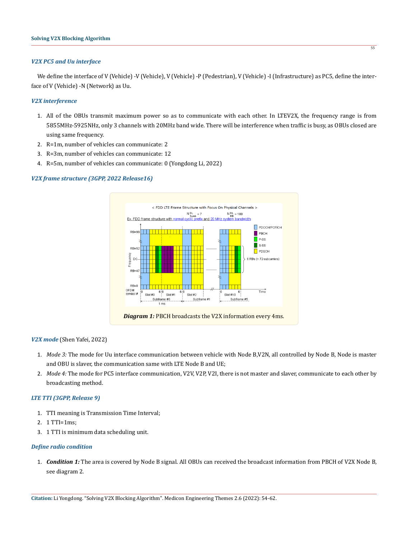#### *V2X PC5 and Uu interface*

We define the interface of V (Vehicle) -V (Vehicle), V (Vehicle) -P (Pedestrian), V (Vehicle) -I (Infrastructure) as PC5, define the interface of V (Vehicle) -N (Network) as Uu.

#### *V2X interference*

- 1. All of the OBUs transmit maximum power so as to communicate with each other. In LTEV2X, the frequency range is from 5855MHz-5925NHz, only 3 channels with 20MHz band wide. There will be interference when traffic is busy, as OBUs closed are using same frequency.
- 2. R=1m, number of vehicles can communicate: 2
- 3. R=3m, number of vehicles can communicate: 12
- 4. R=5m, number of vehicles can communicate: 0 (Yongdong Li, 2022)

#### *V2X frame structure (3GPP, 2022 Release16)*



#### *V2X mode* (Shen Yafei, 2022)

- 1. *Mode 3:* The mode for Uu interface communication between vehicle with Node B,V2N, all controlled by Node B, Node is master and OBU is slaver, the communication same with LTE Node B and UE;
- 2. *Mode 4:* The mode for PC5 interface communication, V2V, V2P, V2I, there is not master and slaver, communicate to each other by broadcasting method.

#### *LTE TTI (3GPP, Release 9)*

- 1. TTI meaning is Transmission Time Interval;
- 2. 1 TTI=1ms;
- 3. 1 TTI is minimum data scheduling unit.

#### *Define radio condition*

1. *Condition 1:* The area is covered by Node B signal. All OBUs can received the broadcast information from PBCH of V2X Node B, see diagram 2.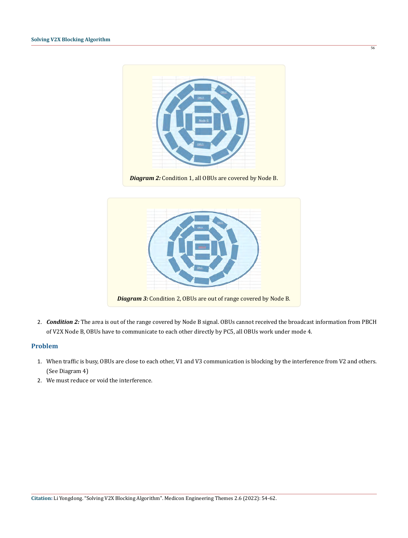

56

*Diagram 2:* Condition 1, all OBUs are covered by Node B.



2. *Condition 2:* The area is out of the range covered by Node B signal. OBUs cannot received the broadcast information from PBCH of V2X Node B, OBUs have to communicate to each other directly by PC5, all OBUs work under mode 4.

#### **Problem**

- 1. When traffic is busy, OBUs are close to each other, V1 and V3 communication is blocking by the interference from V2 and others. (See Diagram 4)
- 2. We must reduce or void the interference.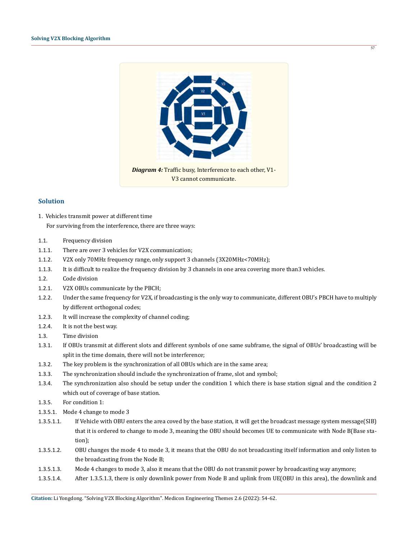

57

#### **Solution**

- 1. Vehicles transmit power at different time For surviving from the interference, there are three ways:
- 1.1. Frequency division
- 1.1.1. There are over 3 vehicles for V2X communication;
- 1.1.2. V2X only 70MHz frequency range, only support 3 channels (3X20MHz<70MHz);
- 1.1.3. It is difficult to realize the frequency division by 3 channels in one area covering more than3 vehicles.
- 1.2. Code division
- 1.2.1. V2X OBUs communicate by the PBCH;
- 1.2.2. Under the same frequency for V2X, if broadcasting is the only way to communicate, different OBU's PBCH have to multiply by different orthogonal codes;
- 1.2.3. It will increase the complexity of channel coding;
- 1.2.4. It is not the best way.
- 1.3. Time division
- 1.3.1. If OBUs transmit at different slots and different symbols of one same subframe, the signal of OBUs' broadcasting will be split in the time domain, there will not be interference;
- 1.3.2. The key problem is the synchronization of all OBUs which are in the same area;
- 1.3.3. The synchronization should include the synchronization of frame, slot and symbol;
- 1.3.4. The synchronization also should be setup under the condition 1 which there is base station signal and the condition 2 which out of coverage of base station.
- 1.3.5. For condition 1:
- 1.3.5.1. Mode 4 change to mode 3
- 1.3.5.1.1. If Vehicle with OBU enters the area coved by the base station, it will get the broadcast message system message(SIB) that it is ordered to change to mode 3, meaning the OBU should becomes UE to communicate with Node B(Base station);
- 1.3.5.1.2. OBU changes the mode 4 to mode 3, it means that the OBU do not broadcasting itself information and only listen to the broadcasting from the Node B;
- 1.3.5.1.3. Mode 4 changes to mode 3, also it means that the OBU do not transmit power by broadcasting way anymore;
- 1.3.5.1.4. After 1.3.5.1.3, there is only downlink power from Node B and uplink from UE(OBU in this area), the downlink and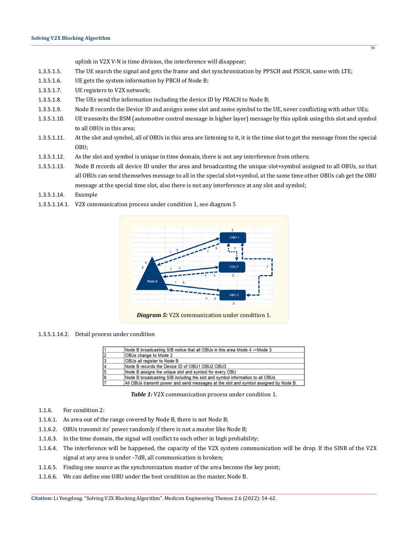uplink in V2X V-N is time division, the interference will disappear;

- 1.3.5.1.5. The UE search the signal and gets the frame and slot synchronization by PPSCH and PSSCH, same with LTE;
- 1.3.5.1.6. UE gets the system information by PBCH of Node B;
- 1.3.5.1.7. UE registers to V2X network;
- 1.3.5.1.8. The UEs send the information including the device ID by PRACH to Node B;
- 1.3.5.1.9. Node B records the Device ID and assigns some slot and some symbol to the UE, never conflicting with other UEs;
- 1.3.5.1.10. UE transmits the BSM (automotive control message in higher layer) message by this uplink using this slot and symbol to all OBUs in this area;
- 1.3.5.1.11. At the slot and symbol, all of OBUs in this area are listening to it, it is the time slot to get the message from the special OBU;
- 1.3.5.1.12. As the slot and symbol is unique in time domain, there is not any interference from others;
- 1.3.5.1.13. Node B records all device ID under the area and broadcasting the unique slot+symbol assigned to all OBUs, so that all OBUs can send themselves message to all in the special slot+symbol, at the same time other OBUs cab get the OBU message at the special time slot, also there is not any interference at any slot and symbol;
- 1.3.5.1.14. Example
- 1.3.5.1.14.1. V2X communication process under condition 1, see diagram 5



#### 1.3.5.1.14.2. Detail process under condition

|   | Node B broadcasting SIB notice that all OBUs in this area Mode 4 ->Mode 3            |
|---|--------------------------------------------------------------------------------------|
| 2 | OBUs change to Mode 3                                                                |
| 3 | OBUs all register to Node B                                                          |
| 4 | Node B records the Device ID of OBU1 OBU2 OBU3                                       |
| 5 | Node B assigns the unique slot and symbol for every OBU                              |
| 6 | Node B broadcasting SIB including the slot and symbol information to all OBUs        |
|   | All OBUs transmit power and send messages at the slot and symbol assigned by Node B. |

*Table 1:* V2X communication process under condition 1.

#### 1.1.6. For condition 2:

- 1.1.6.1. As area out of the range covered by Node B, there is not Node B;
- 1.1.6.2. OBUs transmit its' power randomly if there is not a master like Node B;
- 1.1.6.3. In the time domain, the signal will conflict to each other in high probability;
- 1.1.6.4. The interference will be happened, the capacity of the V2X system communication will be drop. If the SINR of the V2X signal at any area is under -7dB, all communication is broken;
- 1.1.6.5. Finding one source as the synchronization master of the area become the key point;
- 1.1.6.6. We can define one OBU under the best condition as the master, Node B.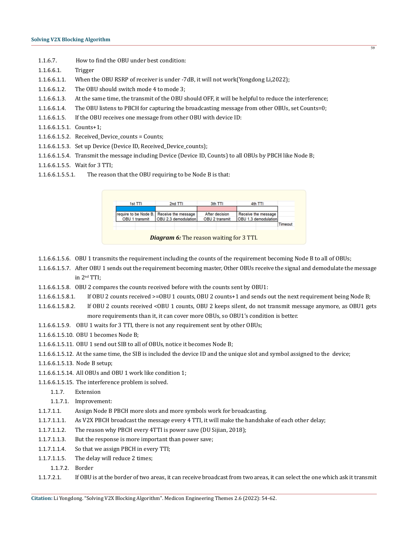- 1.1.6.7. How to find the OBU under best condition:
- 1.1.6.6.1. Trigger
- 1.1.6.6.1.1. When the OBU RSRP of receiver is under -7dB, it will not work(Yongdong Li,2022);
- 1.1.6.6.1.2. The OBU should switch mode 4 to mode 3;
- 1.1.6.6.1.3. At the same time, the transmit of the OBU should OFF, it will be helpful to reduce the interference;

59

- 1.1.6.6.1.4. The OBU listens to PBCH for capturing the broadcasting message from other OBUs, set Counts=0;
- 1.1.6.6.1.5. If the OBU receives one message from other OBU with device ID:
- 1.1.6.6.1.5.1. Counts+1;
- 1.1.6.6.1.5.2. Received Device counts = Counts;
- 1.1.6.6.1.5.3. Set up Device (Device ID, Received\_Device\_counts);
- 1.1.6.6.1.5.4. Transmit the message including Device (Device ID, Counts) to all OBUs by PBCH like Node B;
- 1.1.6.6.1.5.5. Wait for 3 TTI;
- 1.1.6.6.1.5.5.1. The reason that the OBU requiring to be Node B is that:

|         | 4th TTI              | 3th TTI        | 2nd TTI                                   | 1st TTI        |
|---------|----------------------|----------------|-------------------------------------------|----------------|
|         |                      |                |                                           |                |
|         | Receive the message  | After decision | require to be Node B. Receive the message |                |
|         | OBU 1,3 demodulation | OBU 2 transmit | OBU 2.3 demodulation                      | OBU 1 transmit |
| Timeout |                      |                |                                           |                |
|         |                      |                |                                           |                |

- 1.1.6.6.1.5.6. OBU 1 transmits the requirement including the counts of the requirement becoming Node B to all of OBUs;
- 1.1.6.6.1.5.7. After OBU 1 sends out the requirement becoming master, Other OBUs receive the signal and demodulate the message in 2nd TTI;
- 1.1.6.6.1.5.8. OBU 2 compares the counts received before with the counts sent by OBU1:
- 1.1.6.6.1.5.8.1. If OBU 2 counts received >=OBU 1 counts, OBU 2 counts+1 and sends out the next requirement being Node B;
- 1.1.6.6.1.5.8.2. If OBU 2 counts received <OBU 1 counts, OBU 2 keeps silent, do not transmit message anymore, as OBU1 gets more requirements than it, it can cover more OBUs, so OBU1's condition is better.
- 1.1.6.6.1.5.9. OBU 1 waits for 3 TTI, there is not any requirement sent by other OBUs;
- 1.1.6.6.1.5.10. OBU 1 becomes Node B;
- 1.1.6.6.1.5.11. OBU 1 send out SIB to all of OBUs, notice it becomes Node B;
- 1.1.6.6.1.5.12. At the same time, the SIB is included the device ID and the unique slot and symbol assigned to the device;
- 1.1.6.6.1.5.13. Node B setup;
- 1.1.6.6.1.5.14. All OBUs and OBU 1 work like condition 1;
- 1.1.6.6.1.5.15. The interference problem is solved.
	- 1.1.7. Extension
	- 1.1.7.1. Improvement:
- 1.1.7.1.1. Assign Node B PBCH more slots and more symbols work for broadcasting.
- 1.1.7.1.1.1. As V2X PBCH broadcast the message every 4 TTI, it will make the handshake of each other delay;
- 1.1.7.1.1.2. The reason why PBCH every 4TTI is power save (DU Sijian, 2018);
- 1.1.7.1.1.3. But the response is more important than power save;
- 1.1.7.1.1.4. So that we assign PBCH in every TTI;
- 1.1.7.1.1.5. The delay will reduce 2 times;
- 1.1.7.2. Border
- 1.1.7.2.1. If OBU is at the border of two areas, it can receive broadcast from two areas, it can select the one which ask it transmit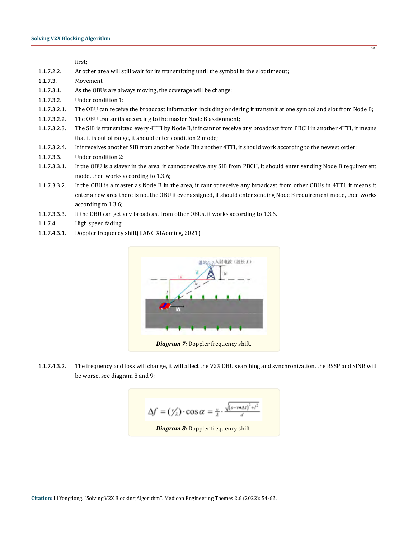first;

- 1.1.7.2.2. Another area will still wait for its transmitting until the symbol in the slot timeout;
- 1.1.7.3. Movement
- 1.1.7.3.1. As the OBUs are always moving, the coverage will be change;
- 1.1.7.3.2. Under condition 1:
- 1.1.7.3.2.1. The OBU can receive the broadcast information including or dering it transmit at one symbol and slot from Node B;
- 1.1.7.3.2.2. The OBU transmits according to the master Node B assignment;
- 1.1.7.3.2.3. The SIB is transmitted every 4TTI by Node B, if it cannot receive any broadcast from PBCH in another 4TTI, it means that it is out of range, it should enter condition 2 mode;
- 1.1.7.3.2.4. If it receives another SIB from another Node Bin another 4TTI, it should work according to the newest order;
- 1.1.7.3.3. Under condition 2:
- 1.1.7.3.3.1. If the OBU is a slaver in the area, it cannot receive any SIB from PBCH, it should enter sending Node B requirement mode, then works according to 1.3.6;
- 1.1.7.3.3.2. If the OBU is a master as Node B in the area, it cannot receive any broadcast from other OBUs in 4TTI, it means it enter a new area there is not the OBU it ever assigned, it should enter sending Node B requirement mode, then works according to 1.3.6;
- 1.1.7.3.3.3. If the OBU can get any broadcast from other OBUs, it works according to 1.3.6.
- 1.1.7.4. High speed fading
- 1.1.7.4.3.1. Doppler frequency shift(JIANG XIAoming, 2021)



1.1.7.4.3.2. The frequency and loss will change, it will affect the V2X OBU searching and synchronization, the RSSP and SINR will be worse, see diagram 8 and 9;

$$
\Delta f = (\frac{v}{\lambda}) \cdot \cos \alpha = \frac{v}{\lambda} \cdot \frac{\sqrt{(s - v \cdot \Delta t)^2 + t^2}}{d}
$$
  
*Diagram 8:* Doppler frequency shift.

**Citation:** Li Yongdong. "Solving V2X Blocking Algorithm". Medicon Engineering Themes 2.6 (2022): 54-62.

 $60$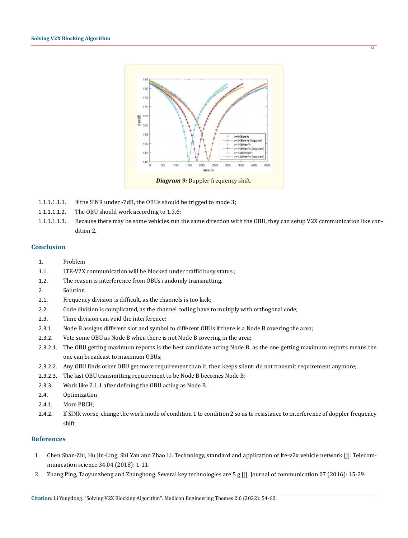

- 1.1.1.1.1.1. If the SINR under -7dB, the OBUs should be trigged to mode 3;
- 1.1.1.1.1.2. The OBU should work according to 1.3.6;
- 1.1.1.1.1.3. Because there may be some vehicles run the same direction with the OBU, they can setup V2X communication like condition 2.

## **Conclusion**

- 1. Problem
- 1.1. LTE-V2X communication will be blocked under traffic busy status.;
- 1.2. The reason is interference from OBUs randomly transmitting.
- 2. Solution
- 2.1. Frequency division is difficult, as the channels is too lack;
- 2.2. Code division is complicated, as the channel coding have to multiply with orthogonal code;
- 2.3. Time division can void the interference;
- 2.3.1. Node B assigns different slot and symbol to different OBUs if there is a Node B covering the area;
- 2.3.2. Vote some OBU as Node B when there is not Node B covering in the area;
- 2.3.2.1. The OBU getting maximum reports is the best candidate acting Node B, as the one getting maximum reports means the one can broadcast to maximum OBUs;
- 2.3.2.2. Any OBU finds other OBU get more requirement than it, then keeps silent: do not transmit requirement anymore;
- 2.3.2.3. The last OBU transmitting requirement to be Node B becomes Node B;
- 2.3.3. Work like 2.1.1 after defining the OBU acting as Node B.
- 2.4. Optimization
- 2.4.1. More PBCH;
- 2.4.2. If SINR worse, change the work mode of condition 1 to condition 2 so as to resistance to interference of doppler frequency shift.

#### **References**

- 1. Chen Shan-Zhi, Hu Jin-Ling, Shi Yan and Zhao Li. Technology, standard and application of lte-v2x vehicle network [j]. Telecommunication science 34.04 (2018): 1-11.
- 2. Zhang Ping, Taoyunzheng and Zhanghong. Several key technologies are 5 g [j]. Journal of communication 07 (2016): 15-29.

 $\overline{61}$